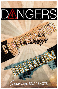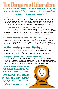## ort Li nders

**The word "liberal" is not a bad word, per-se. In fact, there are times when it is good to be liberal – generous, free, open, or progressive. For example, we should be liberal in our prayers (1Th.5:17), or liberal in love (Mk.12:30). But in this lesson, we consider a dangerous kind of liberalism – which takes us beyond the doctrine of Christ (2Jn.9-11). Later, we'll look at "the rest of the story" – The Problems of Conservatism.**

#### **Liberalism rejects revealed truth for its preconceptions**

- "Gnostics" [knowing ones/spiritual elitists], manifested an early form of liberalism (1 -2-3 Jn.)
- They believed matter was inherently evil, so they could not accept Christ "in the flesh" (2Jn.7)
- Thus, in an effort to be consistent with their preconceptions, they rejected this truth about Jesus
- Liberalism does the very same thing today! It still rejects truth to uphold its preconceptions!

#### **Truth is determined by "the doctrine of Christ" (2Jn.9-11)**

- Liberals say it is the "doctrine about Christ,"  $(v.7)$ ; but surely not limited to His humanity (flesh)
- So even if it's just "about Christ," it would surely include His Deity & Kingly authority! (Ac.2:36)
- But in truth, it's "the doctrine FROM Christ" thus, it includes ALL that He taught!  $(2Jn.4, 6, 9)$
- Thus, if we "progress" & "remain" beyond Christ's teaching, we have no fellowship with God!

#### **Consider some modern-day manifestations of liberalism**

- It questions every "tradition," to promote change (authority, or worship but 2Th.2:15)
- It redefines sin, giving it a "positive" spin (we're not "digressive" but "progressive," but 2Jn.9)
- It is incremental: progressive sectarianism –> denominationalism –> modernism –> humanism
- Then, it cries "foul" when it's "chickens come home to roost" ("This isn't what I bargained for!")

#### **Some things which might identify a spirit of liberalism**

- Liberals see every potential problem as a "major crisis," which needs a "grand" solution
- But usually, their "grand" solutions are superficial, i.e., let's just throw money at problem!
- Liberals try to be "non-judgmental," tolerating almost anything except a conservative!
- But ultimately, it rules by force: "If you conservatives don't like it, leave!" (3Jn.9-10)

#### **Learning to recognize some the "defenses" of liberalism**

- In truth, they are unconcerned with what the Bible says, but they do offer some "defenses"
- They defend it by ridicule [vs. reason] hence, in their eyes, "You're just like the 'one cuppers'"
- They defend it by emotionalism [vs. rationalism], hence, you're "anti-preaching;" or "anti-orphan"
- They defend it by expediency [vs. authority] -- but they are merely expediting their

#### **Hopefully, this lesson has helped you understand how "liberalism" is a dangerous enemy of**

**Christ. We must continually remind ourselves of the dangers of liberalism, lest our "lampstand" be removed from "its place" with Jesus (Rv.1:12-**

**13, 20; 2:5). And, we must be "conservative enough" to limit ourselves to a "thus says the Lord" for all we do religiously. Only then shall we avoid this dangerous enemy of Christ! UR baptism, and see if it was done as the Scriptures** 

**teach. If it wasn't, then your baptism is unscriptural, period!** *If you were baptized wrong, then you must do it right* **(Acts 19:1-6).**

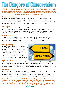

**O ur previous lesson discussed "liberalism," but this one will address "conservatism" – i.e., "the disposition to maintain existing order." When it comes to Biblical matters, conservatism is both good and right! (2Th.2:15; cf. Ga.1:6-10; Col.3:17; 2Jn.9; etc.). But conservatism has inherent consequences – such as the need to "contend for the faith" (Jude 3). It also has inherent dangers! In this lesson, we will examine some**

#### **Pharisaic traditionalism**

- That is, conserving conservatism with greater conservatism "man-made" rules (Col.2:20-23)
- For instance, "official" Rabbinical interpretations, like rules concerning the Sabbath  $(Ac.1:12)$
- $\bullet$  Modern examples: One cup (1Cor.11:26); no classes (1Cor.14:23); no women teachers (1Tm.2:12);
- $\bullet$  No eating in the meeting house (Ac.20:11); modesty to the inch (1Tm.2:9-10); etc.

#### **Creedalism**

- Creedalism "chooses" certain items and ONLY those few items are really important!
- For instance, only certain oaths count (Mt.23:16-22); do some things, but neglect others (v.23)
- Modern example: No organ, no orphan home, and no kitchen yet the members are worldly
- Sometimes, an actual creed (written or unwritten) is developed (e.g., "the 28 questions")

#### **Isolationism**

- Yes, we are to "be separate" meaning not to partake of or support SIN! (2Cor.6:14-18)
- But God never intended for us to cut off ALL "association" with sinners! (Lk.15:1-7)
- Indeed, if we can never go around sinners, how will we ever reach them? (Ac.13:13-16)
- Yet to "conserve conservatism," we sometimes arrogantly isolate ourselves from sinners

#### **Heresy hunting**

- Some conservatives become "conspiracy" theorists," always looking for the next "issue"
- However, we must be very careful not to engage in "evil suspicions" (1Tm.6:3-5)
- Others seem to have an attitude which says, "Let's destroy Apollos!" (Ac.18:24-26)
- Still others bind matters of judgment, like where or what I can preach (a liberal church)

#### **Biting and devouring**

- Because of our traditions, unwritten creeds,  $\&$  fear of heresy, we bite  $\&$  devour the faithful!
- Many times, it's NOT because they teach error, but because they are not as "hardcore" as others!
- So in "defense of truth" we think we can act like the Devil in the name of the Lord; Satan smiles!
- Paul said that if we have such an attitude, we just might be "consumed by one another!" (Gal.5:15)

#### **Inactivity**

- Jesus spoke of some who "bind heavy burdens" yet won't do what they ask of others! (Mt.23:1-4)
- No missionary society, yet no personal evangelism; no church orphan home; yet no personal help!
- This is "law worship" we get the "reputation" of right doctrine, w/o the right practice ( $Rv.3:1-2$ )
- Some develop such a fear of doing wrong that they do nothing at all a "dead" faith! (Jm.2:20)

**Why do the above things happen? FEAR! Fear of liberalism pa ralyzes us from doing what we have every Scriptural right to do. So, because of fear, we make our own rules, become creedal, isolate ourselves, look for heresy, bite, devour and eventually die! These are some of the**  inherent dangers of conservatism. So, let us try to avoid these very real dangers, while **simultaneously preserving apostolic tradition (2Th.2:15).**

#### **-Lanny Smith**